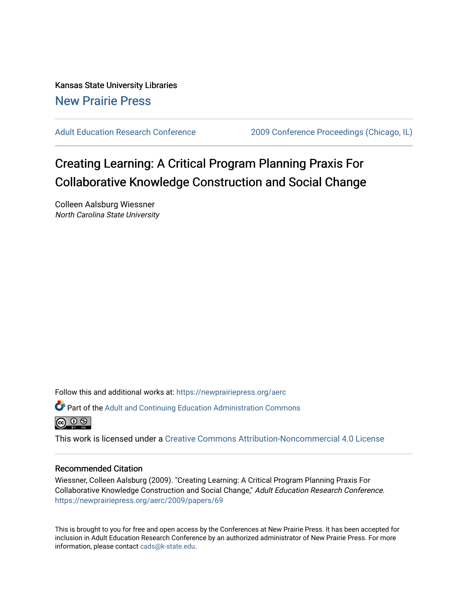Kansas State University Libraries [New Prairie Press](https://newprairiepress.org/) 

[Adult Education Research Conference](https://newprairiepress.org/aerc) [2009 Conference Proceedings \(Chicago, IL\)](https://newprairiepress.org/aerc/2009) 

# Creating Learning: A Critical Program Planning Praxis For Collaborative Knowledge Construction and Social Change

Colleen Aalsburg Wiessner North Carolina State University

Follow this and additional works at: [https://newprairiepress.org/aerc](https://newprairiepress.org/aerc?utm_source=newprairiepress.org%2Faerc%2F2009%2Fpapers%2F69&utm_medium=PDF&utm_campaign=PDFCoverPages)

Part of the [Adult and Continuing Education Administration Commons](http://network.bepress.com/hgg/discipline/789?utm_source=newprairiepress.org%2Faerc%2F2009%2Fpapers%2F69&utm_medium=PDF&utm_campaign=PDFCoverPages)



This work is licensed under a [Creative Commons Attribution-Noncommercial 4.0 License](https://creativecommons.org/licenses/by-nc/4.0/)

# Recommended Citation

Wiessner, Colleen Aalsburg (2009). "Creating Learning: A Critical Program Planning Praxis For Collaborative Knowledge Construction and Social Change," Adult Education Research Conference. <https://newprairiepress.org/aerc/2009/papers/69>

This is brought to you for free and open access by the Conferences at New Prairie Press. It has been accepted for inclusion in Adult Education Research Conference by an authorized administrator of New Prairie Press. For more information, please contact [cads@k-state.edu](mailto:cads@k-state.edu).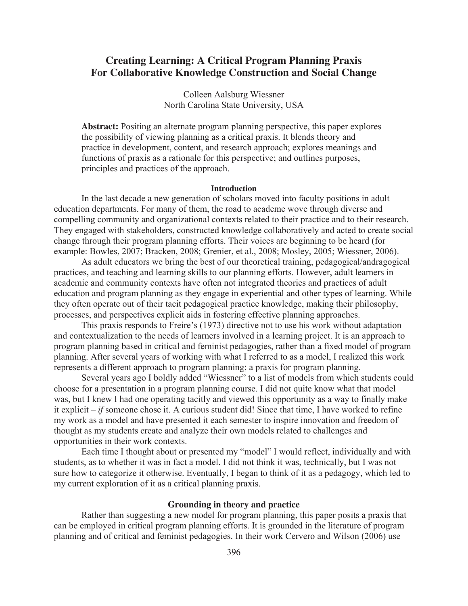# **Creating Learning: A Critical Program Planning Praxis For Collaborative Knowledge Construction and Social Change**

Colleen Aalsburg Wiessner North Carolina State University, USA

**Abstract:** Positing an alternate program planning perspective, this paper explores the possibility of viewing planning as a critical praxis. It blends theory and practice in development, content, and research approach; explores meanings and functions of praxis as a rationale for this perspective; and outlines purposes, principles and practices of the approach.

#### **Introduction**

In the last decade a new generation of scholars moved into faculty positions in adult education departments. For many of them, the road to academe wove through diverse and compelling community and organizational contexts related to their practice and to their research. They engaged with stakeholders, constructed knowledge collaboratively and acted to create social change through their program planning efforts. Their voices are beginning to be heard (for example: Bowles, 2007; Bracken, 2008; Grenier, et al., 2008; Mosley, 2005; Wiessner, 2006).

As adult educators we bring the best of our theoretical training, pedagogical/andragogical practices, and teaching and learning skills to our planning efforts. However, adult learners in academic and community contexts have often not integrated theories and practices of adult education and program planning as they engage in experiential and other types of learning. While they often operate out of their tacit pedagogical practice knowledge, making their philosophy, processes, and perspectives explicit aids in fostering effective planning approaches.

This praxis responds to Freire's (1973) directive not to use his work without adaptation and contextualization to the needs of learners involved in a learning project. It is an approach to program planning based in critical and feminist pedagogies, rather than a fixed model of program planning. After several years of working with what I referred to as a model, I realized this work represents a different approach to program planning; a praxis for program planning.

Several years ago I boldly added "Wiessner" to a list of models from which students could choose for a presentation in a program planning course. I did not quite know what that model was, but I knew I had one operating tacitly and viewed this opportunity as a way to finally make it explicit  $-i\hat{t}$  someone chose it. A curious student did! Since that time, I have worked to refine my work as a model and have presented it each semester to inspire innovation and freedom of thought as my students create and analyze their own models related to challenges and opportunities in their work contexts.

Each time I thought about or presented my "model" I would reflect, individually and with students, as to whether it was in fact a model. I did not think it was, technically, but I was not sure how to categorize it otherwise. Eventually, I began to think of it as a pedagogy, which led to my current exploration of it as a critical planning praxis.

## **Grounding in theory and practice**

Rather than suggesting a new model for program planning, this paper posits a praxis that can be employed in critical program planning efforts. It is grounded in the literature of program planning and of critical and feminist pedagogies. In their work Cervero and Wilson (2006) use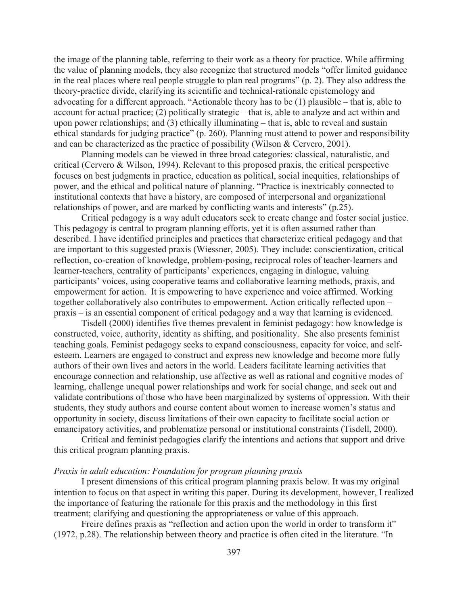the image of the planning table, referring to their work as a theory for practice. While affirming the value of planning models, they also recognize that structured models "offer limited guidance in the real places where real people struggle to plan real programs" (p. 2). They also address the theory-practice divide, clarifying its scientific and technical-rationale epistemology and advocating for a different approach. "Actionable theory has to be (1) plausible – that is, able to account for actual practice; (2) politically strategic – that is, able to analyze and act within and upon power relationships; and (3) ethically illuminating – that is, able to reveal and sustain ethical standards for judging practice" (p. 260). Planning must attend to power and responsibility and can be characterized as the practice of possibility (Wilson & Cervero, 2001).

Planning models can be viewed in three broad categories: classical, naturalistic, and critical (Cervero & Wilson, 1994). Relevant to this proposed praxis, the critical perspective focuses on best judgments in practice, education as political, social inequities, relationships of power, and the ethical and political nature of planning. "Practice is inextricably connected to institutional contexts that have a history, are composed of interpersonal and organizational relationships of power, and are marked by conflicting wants and interests" (p.25).

Critical pedagogy is a way adult educators seek to create change and foster social justice. This pedagogy is central to program planning efforts, yet it is often assumed rather than described. I have identified principles and practices that characterize critical pedagogy and that are important to this suggested praxis (Wiessner, 2005). They include: conscientization, critical reflection, co-creation of knowledge, problem-posing, reciprocal roles of teacher-learners and learner-teachers, centrality of participants' experiences, engaging in dialogue, valuing participants' voices, using cooperative teams and collaborative learning methods, praxis, and empowerment for action. It is empowering to have experience and voice affirmed. Working together collaboratively also contributes to empowerment. Action critically reflected upon – praxis – is an essential component of critical pedagogy and a way that learning is evidenced.

Tisdell (2000) identifies five themes prevalent in feminist pedagogy: how knowledge is constructed, voice, authority, identity as shifting, and positionality. She also presents feminist teaching goals. Feminist pedagogy seeks to expand consciousness, capacity for voice, and selfesteem. Learners are engaged to construct and express new knowledge and become more fully authors of their own lives and actors in the world. Leaders facilitate learning activities that encourage connection and relationship, use affective as well as rational and cognitive modes of learning, challenge unequal power relationships and work for social change, and seek out and validate contributions of those who have been marginalized by systems of oppression. With their students, they study authors and course content about women to increase women's status and opportunity in society, discuss limitations of their own capacity to facilitate social action or emancipatory activities, and problematize personal or institutional constraints (Tisdell, 2000).

Critical and feminist pedagogies clarify the intentions and actions that support and drive this critical program planning praxis.

#### *Praxis in adult education: Foundation for program planning praxis*

 I present dimensions of this critical program planning praxis below. It was my original intention to focus on that aspect in writing this paper. During its development, however, I realized the importance of featuring the rationale for this praxis and the methodology in this first treatment; clarifying and questioning the appropriateness or value of this approach.

Freire defines praxis as "reflection and action upon the world in order to transform it" (1972, p.28). The relationship between theory and practice is often cited in the literature. "In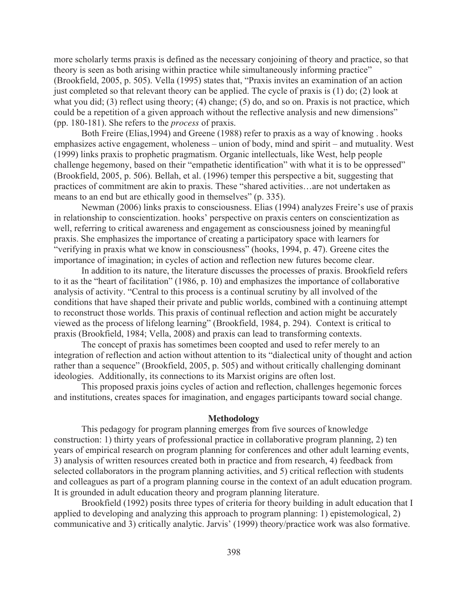more scholarly terms praxis is defined as the necessary conjoining of theory and practice, so that theory is seen as both arising within practice while simultaneously informing practice" (Brookfield, 2005, p. 505). Vella (1995) states that, "Praxis invites an examination of an action just completed so that relevant theory can be applied. The cycle of praxis is (1) do; (2) look at what you did; (3) reflect using theory; (4) change; (5) do, and so on. Praxis is not practice, which could be a repetition of a given approach without the reflective analysis and new dimensions" (pp. 180-181). She refers to the *process* of praxis.

 Both Freire (Elias,1994) and Greene (1988) refer to praxis as a way of knowing . hooks emphasizes active engagement, wholeness – union of body, mind and spirit – and mutuality. West (1999) links praxis to prophetic pragmatism. Organic intellectuals, like West, help people challenge hegemony, based on their "empathetic identification" with what it is to be oppressed" (Brookfield, 2005, p. 506). Bellah, et al. (1996) temper this perspective a bit, suggesting that practices of commitment are akin to praxis. These "shared activities…are not undertaken as means to an end but are ethically good in themselves" (p. 335).

Newman (2006) links praxis to consciousness. Elias (1994) analyzes Freire's use of praxis in relationship to conscientization. hooks' perspective on praxis centers on conscientization as well, referring to critical awareness and engagement as consciousness joined by meaningful praxis. She emphasizes the importance of creating a participatory space with learners for "verifying in praxis what we know in consciousness" (hooks, 1994, p. 47). Greene cites the importance of imagination; in cycles of action and reflection new futures become clear.

 In addition to its nature, the literature discusses the processes of praxis. Brookfield refers to it as the "heart of facilitation" (1986, p. 10) and emphasizes the importance of collaborative analysis of activity. "Central to this process is a continual scrutiny by all involved of the conditions that have shaped their private and public worlds, combined with a continuing attempt to reconstruct those worlds. This praxis of continual reflection and action might be accurately viewed as the process of lifelong learning" (Brookfield, 1984, p. 294). Context is critical to praxis (Brookfield, 1984; Vella, 2008) and praxis can lead to transforming contexts.

 The concept of praxis has sometimes been coopted and used to refer merely to an integration of reflection and action without attention to its "dialectical unity of thought and action rather than a sequence" (Brookfield, 2005, p. 505) and without critically challenging dominant ideologies. Additionally, its connections to its Marxist origins are often lost.

 This proposed praxis joins cycles of action and reflection, challenges hegemonic forces and institutions, creates spaces for imagination, and engages participants toward social change.

#### **Methodology**

This pedagogy for program planning emerges from five sources of knowledge construction: 1) thirty years of professional practice in collaborative program planning, 2) ten years of empirical research on program planning for conferences and other adult learning events, 3) analysis of written resources created both in practice and from research, 4) feedback from selected collaborators in the program planning activities, and 5) critical reflection with students and colleagues as part of a program planning course in the context of an adult education program. It is grounded in adult education theory and program planning literature.

Brookfield (1992) posits three types of criteria for theory building in adult education that I applied to developing and analyzing this approach to program planning: 1) epistemological, 2) communicative and 3) critically analytic. Jarvis' (1999) theory/practice work was also formative.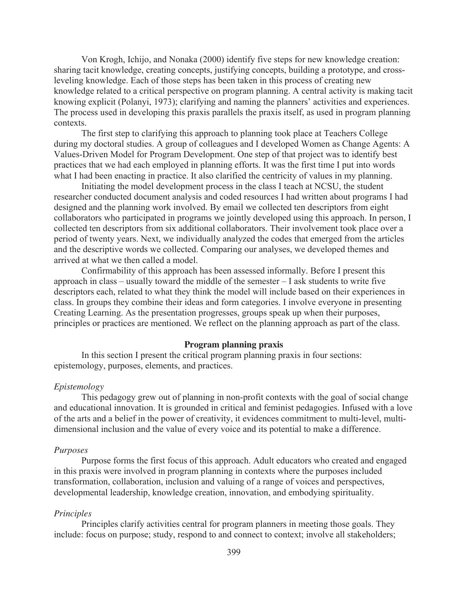Von Krogh, Ichijo, and Nonaka (2000) identify five steps for new knowledge creation: sharing tacit knowledge, creating concepts, justifying concepts, building a prototype, and crossleveling knowledge. Each of those steps has been taken in this process of creating new knowledge related to a critical perspective on program planning. A central activity is making tacit knowing explicit (Polanyi, 1973); clarifying and naming the planners' activities and experiences. The process used in developing this praxis parallels the praxis itself, as used in program planning contexts.

The first step to clarifying this approach to planning took place at Teachers College during my doctoral studies. A group of colleagues and I developed Women as Change Agents: A Values-Driven Model for Program Development. One step of that project was to identify best practices that we had each employed in planning efforts. It was the first time I put into words what I had been enacting in practice. It also clarified the centricity of values in my planning.

Initiating the model development process in the class I teach at NCSU, the student researcher conducted document analysis and coded resources I had written about programs I had designed and the planning work involved. By email we collected ten descriptors from eight collaborators who participated in programs we jointly developed using this approach. In person, I collected ten descriptors from six additional collaborators. Their involvement took place over a period of twenty years. Next, we individually analyzed the codes that emerged from the articles and the descriptive words we collected. Comparing our analyses, we developed themes and arrived at what we then called a model.

Confirmability of this approach has been assessed informally. Before I present this approach in class – usually toward the middle of the semester – I ask students to write five descriptors each, related to what they think the model will include based on their experiences in class. In groups they combine their ideas and form categories. I involve everyone in presenting Creating Learning. As the presentation progresses, groups speak up when their purposes, principles or practices are mentioned. We reflect on the planning approach as part of the class.

# **Program planning praxis**

In this section I present the critical program planning praxis in four sections: epistemology, purposes, elements, and practices.

#### *Epistemology*

This pedagogy grew out of planning in non-profit contexts with the goal of social change and educational innovation. It is grounded in critical and feminist pedagogies. Infused with a love of the arts and a belief in the power of creativity, it evidences commitment to multi-level, multidimensional inclusion and the value of every voice and its potential to make a difference.

#### *Purposes*

Purpose forms the first focus of this approach. Adult educators who created and engaged in this praxis were involved in program planning in contexts where the purposes included transformation, collaboration, inclusion and valuing of a range of voices and perspectives, developmental leadership, knowledge creation, innovation, and embodying spirituality.

#### *Principles*

Principles clarify activities central for program planners in meeting those goals. They include: focus on purpose; study, respond to and connect to context; involve all stakeholders;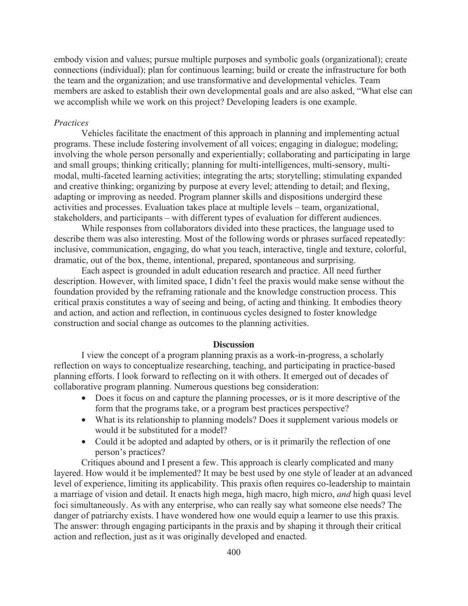embody vision and values; pursue multiple purposes and symbolic goals (organizational); create connections (individual); plan for continuous learning; build or create the infrastructure for both the team and the organization; and use transformative and developmental vehicles. Team members are asked to establish their own developmental goals and are also asked, "What else can we accomplish while we work on this project? Developing leaders is one example.

# *Practices*

 Vehicles facilitate the enactment of this approach in planning and implementing actual programs. These include fostering involvement of all voices; engaging in dialogue; modeling; involving the whole person personally and experientially; collaborating and participating in large and small groups; thinking critically; planning for multi-intelligences, multi-sensory, multimodal, multi-faceted learning activities; integrating the arts; storytelling; stimulating expanded and creative thinking; organizing by purpose at every level; attending to detail; and flexing, adapting or improving as needed. Program planner skills and dispositions undergird these activities and processes. Evaluation takes place at multiple levels – team, organizational, stakeholders, and participants – with different types of evaluation for different audiences.

 While responses from collaborators divided into these practices, the language used to describe them was also interesting. Most of the following words or phrases surfaced repeatedly: inclusive, communication, engaging, do what you teach, interactive, tingle and texture, colorful, dramatic, out of the box, theme, intentional, prepared, spontaneous and surprising.

 Each aspect is grounded in adult education research and practice. All need further description. However, with limited space, I didn't feel the praxis would make sense without the foundation provided by the reframing rationale and the knowledge construction process. This critical praxis constitutes a way of seeing and being, of acting and thinking. It embodies theory and action, and action and reflection, in continuous cycles designed to foster knowledge construction and social change as outcomes to the planning activities.

#### **Discussion**

 I view the concept of a program planning praxis as a work-in-progress, a scholarly reflection on ways to conceptualize researching, teaching, and participating in practice-based planning efforts. I look forward to reflecting on it with others. It emerged out of decades of collaborative program planning. Numerous questions beg consideration:

- Does it focus on and capture the planning processes, or is it more descriptive of the form that the programs take, or a program best practices perspective?
- What is its relationship to planning models? Does it supplement various models or would it be substituted for a model?
- Could it be adopted and adapted by others, or is it primarily the reflection of one person's practices?

Critiques abound and I present a few. This approach is clearly complicated and many layered. How would it be implemented? It may be best used by one style of leader at an advanced level of experience, limiting its applicability. This praxis often requires co-leadership to maintain a marriage of vision and detail. It enacts high mega, high macro, high micro, *and* high quasi level foci simultaneously. As with any enterprise, who can really say what someone else needs? The danger of patriarchy exists. I have wondered how one would equip a learner to use this praxis. The answer: through engaging participants in the praxis and by shaping it through their critical action and reflection, just as it was originally developed and enacted.